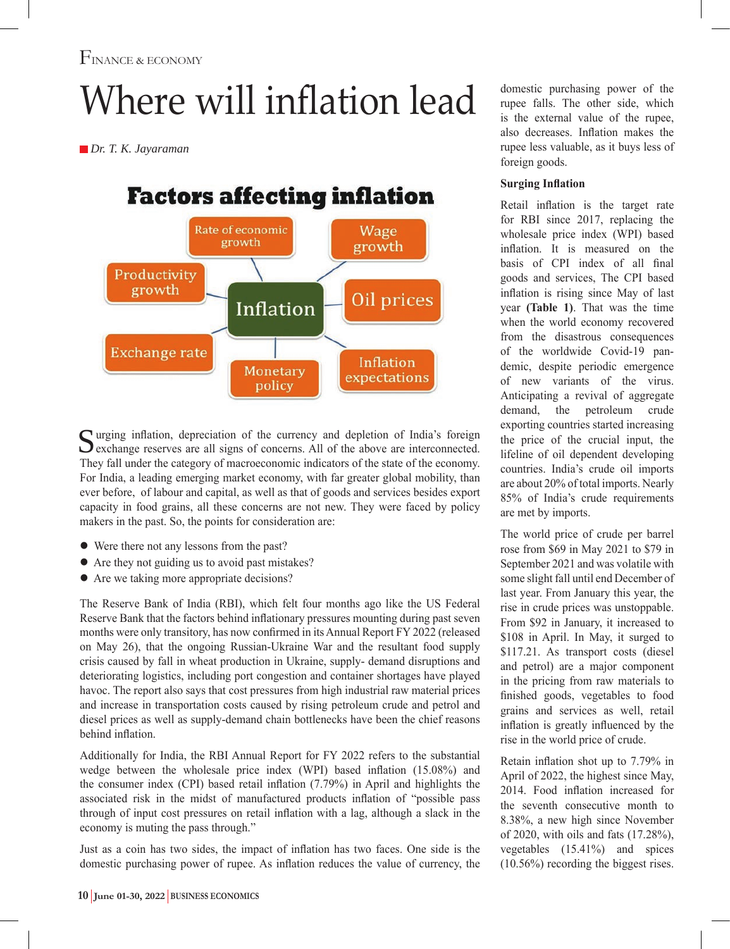# Where will inflation lead

 *Dr. T. K. Jayaraman*

**Factors affecting inflation** 



Surging inflation, depreciation of the currency and depletion of India's foreign exchange reserves are all signs of concerns. All of the above are interconnected. They fall under the category of macroeconomic indicators of the state of the economy. For India, a leading emerging market economy, with far greater global mobility, than ever before, of labour and capital, as well as that of goods and services besides export capacity in food grains, all these concerns are not new. They were faced by policy makers in the past. So, the points for consideration are:

- Were there not any lessons from the past?
- Are they not guiding us to avoid past mistakes?
- Are we taking more appropriate decisions?

The Reserve Bank of India (RBI), which felt four months ago like the US Federal Reserve Bank that the factors behind inflationary pressures mounting during past seven months were only transitory, has now confirmed in its Annual Report FY 2022 (released on May 26), that the ongoing Russian-Ukraine War and the resultant food supply crisis caused by fall in wheat production in Ukraine, supply- demand disruptions and deteriorating logistics, including port congestion and container shortages have played havoc. The report also says that cost pressures from high industrial raw material prices and increase in transportation costs caused by rising petroleum crude and petrol and diesel prices as well as supply-demand chain bottlenecks have been the chief reasons behind inflation.

Additionally for India, the RBI Annual Report for FY 2022 refers to the substantial wedge between the wholesale price index (WPI) based inflation (15.08%) and the consumer index (CPI) based retail inflation (7.79%) in April and highlights the associated risk in the midst of manufactured products inflation of "possible pass through of input cost pressures on retail inflation with a lag, although a slack in the economy is muting the pass through."

Just as a coin has two sides, the impact of inflation has two faces. One side is the domestic purchasing power of rupee. As inflation reduces the value of currency, the

domestic purchasing power of the rupee falls. The other side, which is the external value of the rupee, also decreases. Inflation makes the rupee less valuable, as it buys less of foreign goods.

### **Surging Inflation**

Retail inflation is the target rate for RBI since 2017, replacing the wholesale price index (WPI) based inflation. It is measured on the basis of CPI index of all final goods and services, The CPI based inflation is rising since May of last year **(Table 1)**. That was the time when the world economy recovered from the disastrous consequences of the worldwide Covid-19 pandemic, despite periodic emergence of new variants of the virus. Anticipating a revival of aggregate demand, the petroleum crude exporting countries started increasing the price of the crucial input, the lifeline of oil dependent developing countries. India's crude oil imports are about 20% of total imports. Nearly 85% of India's crude requirements are met by imports.

The world price of crude per barrel rose from \$69 in May 2021 to \$79 in September 2021 and was volatile with some slight fall until end December of last year. From January this year, the rise in crude prices was unstoppable. From \$92 in January, it increased to \$108 in April. In May, it surged to \$117.21. As transport costs (diesel and petrol) are a major component in the pricing from raw materials to finished goods, vegetables to food grains and services as well, retail inflation is greatly influenced by the rise in the world price of crude.

Retain inflation shot up to 7.79% in April of 2022, the highest since May, 2014. Food inflation increased for the seventh consecutive month to 8.38%, a new high since November of 2020, with oils and fats (17.28%), vegetables (15.41%) and spices (10.56%) recording the biggest rises.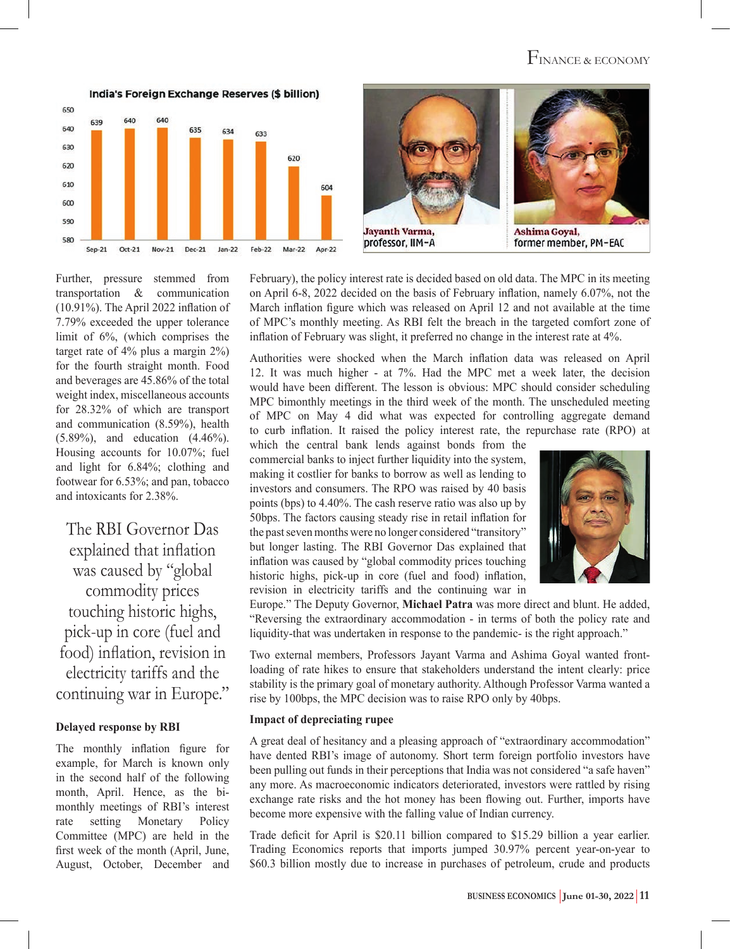## FINANCE & ECONOMY

India's Foreign Exchange Reserves (\$ billion) 650 639 640 635 634 633 630 620 620 610 604 600 590 580  $Oct-21$ Nov-21 Dec-21 Feb-22 Mar-22 Apr-22  $Sep-21$ Jan-22



Further, pressure stemmed from transportation & communication (10.91%). The April 2022 inflation of 7.79% exceeded the upper tolerance limit of 6%, (which comprises the target rate of 4% plus a margin 2%) for the fourth straight month. Food and beverages are 45.86% of the total weight index, miscellaneous accounts for 28.32% of which are transport and communication (8.59%), health (5.89%), and education (4.46%). Housing accounts for 10.07%; fuel and light for 6.84%; clothing and footwear for 6.53%; and pan, tobacco and intoxicants for 2.38%.

The RBI Governor Das explained that inflation was caused by "global commodity prices touching historic highs, pick-up in core (fuel and food) inflation, revision in electricity tariffs and the continuing war in Europe."

#### **Delayed response by RBI**

The monthly inflation figure for example, for March is known only in the second half of the following month, April. Hence, as the bimonthly meetings of RBI's interest rate setting Monetary Policy Committee (MPC) are held in the first week of the month (April, June, August, October, December and

February), the policy interest rate is decided based on old data. The MPC in its meeting on April 6-8, 2022 decided on the basis of February inflation, namely 6.07%, not the March inflation figure which was released on April 12 and not available at the time of MPC's monthly meeting. As RBI felt the breach in the targeted comfort zone of inflation of February was slight, it preferred no change in the interest rate at 4%.

Authorities were shocked when the March inflation data was released on April 12. It was much higher - at 7%. Had the MPC met a week later, the decision would have been different. The lesson is obvious: MPC should consider scheduling MPC bimonthly meetings in the third week of the month. The unscheduled meeting of MPC on May 4 did what was expected for controlling aggregate demand to curb inflation. It raised the policy interest rate, the repurchase rate (RPO) at

which the central bank lends against bonds from the commercial banks to inject further liquidity into the system, making it costlier for banks to borrow as well as lending to investors and consumers. The RPO was raised by 40 basis points (bps) to 4.40%. The cash reserve ratio was also up by 50bps. The factors causing steady rise in retail inflation for the past seven months were no longer considered "transitory" but longer lasting. The RBI Governor Das explained that inflation was caused by "global commodity prices touching historic highs, pick-up in core (fuel and food) inflation, revision in electricity tariffs and the continuing war in



Europe." The Deputy Governor, **Michael Patra** was more direct and blunt. He added, "Reversing the extraordinary accommodation - in terms of both the policy rate and liquidity-that was undertaken in response to the pandemic- is the right approach."

Two external members, Professors Jayant Varma and Ashima Goyal wanted frontloading of rate hikes to ensure that stakeholders understand the intent clearly: price stability is the primary goal of monetary authority. Although Professor Varma wanted a rise by 100bps, the MPC decision was to raise RPO only by 40bps.

#### **Impact of depreciating rupee**

A great deal of hesitancy and a pleasing approach of "extraordinary accommodation" have dented RBI's image of autonomy. Short term foreign portfolio investors have been pulling out funds in their perceptions that India was not considered "a safe haven" any more. As macroeconomic indicators deteriorated, investors were rattled by rising exchange rate risks and the hot money has been flowing out. Further, imports have become more expensive with the falling value of Indian currency.

Trade deficit for April is \$20.11 billion compared to \$15.29 billion a year earlier. Trading Economics reports that imports jumped 30.97% percent year-on-year to \$60.3 billion mostly due to increase in purchases of petroleum, crude and products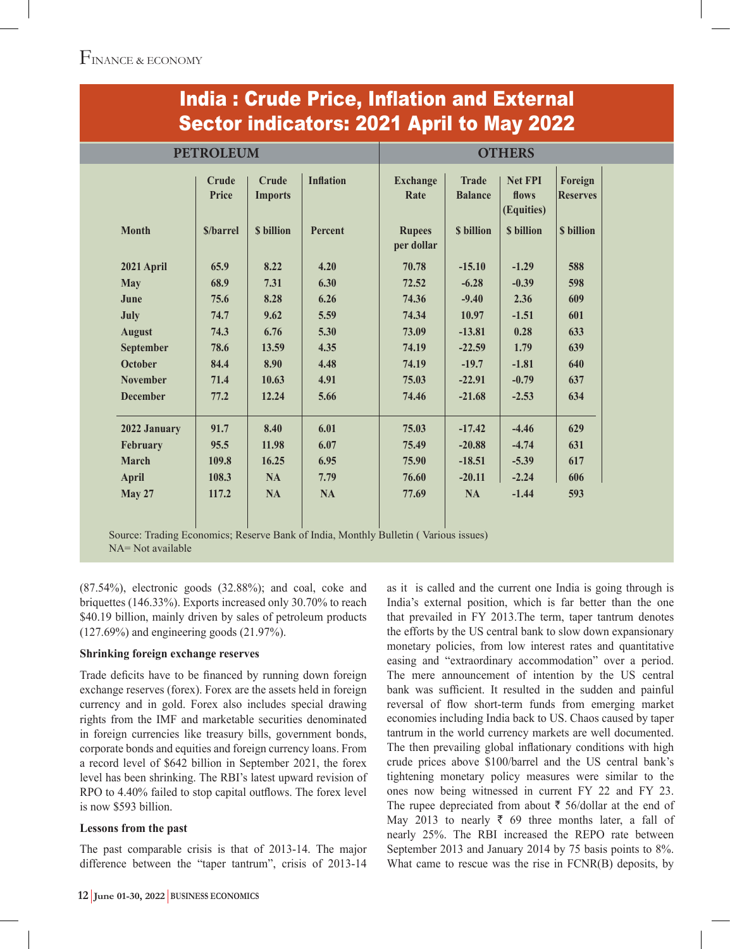| <b>PETROLEUM</b> |                       |                         |                  | <b>OTHERS</b>               |                                |                                       |                            |
|------------------|-----------------------|-------------------------|------------------|-----------------------------|--------------------------------|---------------------------------------|----------------------------|
|                  | <b>Crude</b><br>Price | Crude<br><b>Imports</b> | <b>Inflation</b> | <b>Exchange</b><br>Rate     | <b>Trade</b><br><b>Balance</b> | <b>Net FPI</b><br>flows<br>(Equities) | Foreign<br><b>Reserves</b> |
| <b>Month</b>     | <b>S/barrel</b>       | <b>S</b> billion        | Percent          | <b>Rupees</b><br>per dollar | <b>S</b> billion               | <b>S</b> billion                      | <b>S</b> billion           |
| 2021 April       | 65.9                  | 8.22                    | 4.20             | 70.78                       | $-15.10$                       | $-1.29$                               | 588                        |
| <b>May</b>       | 68.9                  | 7.31                    | 6.30             | 72.52                       | $-6.28$                        | $-0.39$                               | 598                        |
| June             | 75.6                  | 8.28                    | 6.26             | 74.36                       | $-9.40$                        | 2.36                                  | 609                        |
| July             | 74.7                  | 9.62                    | 5.59             | 74.34                       | 10.97                          | $-1.51$                               | 601                        |
| <b>August</b>    | 74.3                  | 6.76                    | 5.30             | 73.09                       | $-13.81$                       | 0.28                                  | 633                        |
| September        | 78.6                  | 13.59                   | 4.35             | 74.19                       | $-22.59$                       | 1.79                                  | 639                        |
| <b>October</b>   | 84.4                  | 8.90                    | 4.48             | 74.19                       | $-19.7$                        | $-1.81$                               | 640                        |
| <b>November</b>  | 71.4                  | 10.63                   | 4.91             | 75.03                       | $-22.91$                       | $-0.79$                               | 637                        |
| <b>December</b>  | 77.2                  | 12.24                   | 5.66             | 74.46                       | $-21.68$                       | $-2.53$                               | 634                        |
| 2022 January     | 91.7                  | 8.40                    | 6.01             | 75.03                       | $-17.42$                       | $-4.46$                               | 629                        |
| February         | 95.5                  | 11.98                   | 6.07             | 75.49                       | $-20.88$                       | $-4.74$                               | 631                        |
| <b>March</b>     | 109.8                 | 16.25                   | 6.95             | 75.90                       | $-18.51$                       | $-5.39$                               | 617                        |
| <b>April</b>     | 108.3                 | <b>NA</b>               | 7.79             | 76.60                       | $-20.11$                       | $-2.24$                               | 606                        |
| <b>May 27</b>    | 117.2                 | <b>NA</b>               | <b>NA</b>        | 77.69                       | <b>NA</b>                      | $-1.44$                               | 593                        |

## India : Crude Price, Inflation and External

Source: Trading Economics; Reserve Bank of India, Monthly Bulletin ( Various issues) NA= Not available

(87.54%), electronic goods (32.88%); and coal, coke and briquettes (146.33%). Exports increased only 30.70% to reach \$40.19 billion, mainly driven by sales of petroleum products (127.69%) and engineering goods (21.97%).

#### **Shrinking foreign exchange reserves**

Trade deficits have to be financed by running down foreign exchange reserves (forex). Forex are the assets held in foreign currency and in gold. Forex also includes special drawing rights from the IMF and marketable securities denominated in foreign currencies like treasury bills, government bonds, corporate bonds and equities and foreign currency loans. From a record level of \$642 billion in September 2021, the forex level has been shrinking. The RBI's latest upward revision of RPO to 4.40% failed to stop capital outflows. The forex level is now \$593 billion.

#### **Lessons from the past**

The past comparable crisis is that of 2013-14. The major difference between the "taper tantrum", crisis of 2013-14 as it is called and the current one India is going through is India's external position, which is far better than the one that prevailed in FY 2013.The term, taper tantrum denotes the efforts by the US central bank to slow down expansionary monetary policies, from low interest rates and quantitative easing and "extraordinary accommodation" over a period. The mere announcement of intention by the US central bank was sufficient. It resulted in the sudden and painful reversal of flow short-term funds from emerging market economies including India back to US. Chaos caused by taper tantrum in the world currency markets are well documented. The then prevailing global inflationary conditions with high crude prices above \$100/barrel and the US central bank's tightening monetary policy measures were similar to the ones now being witnessed in current FY 22 and FY 23. The rupee depreciated from about  $\bar{\tau}$  56/dollar at the end of May 2013 to nearly  $\bar{\tau}$  69 three months later, a fall of nearly 25%. The RBI increased the REPO rate between September 2013 and January 2014 by 75 basis points to 8%. What came to rescue was the rise in FCNR(B) deposits, by